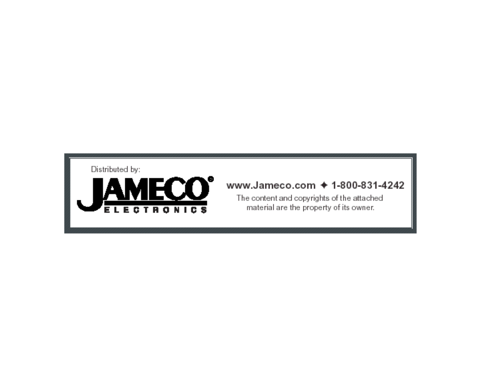Distributed by:



## www.Jameco.com → 1-800-831-4242

The content and copyrights of the attached material are the property of its owner.